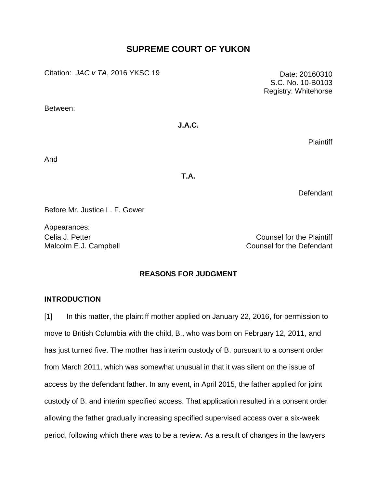# **SUPREME COURT OF YUKON**

Citation: *JAC v TA*, 2016 YKSC 19 Date: 20160310

Between:

# **J.A.C.**

**Plaintiff** 

And

**T.A.**

**Defendant** 

Before Mr. Justice L. F. Gower

Appearances:

Celia J. Petter Counsel for the Plaintiff Malcolm E.J. Campbell **Counsel For the Defendant** 

# **REASONS FOR JUDGMENT**

# **INTRODUCTION**

[1] In this matter, the plaintiff mother applied on January 22, 2016, for permission to move to British Columbia with the child, B., who was born on February 12, 2011, and has just turned five. The mother has interim custody of B. pursuant to a consent order from March 2011, which was somewhat unusual in that it was silent on the issue of access by the defendant father. In any event, in April 2015, the father applied for joint custody of B. and interim specified access. That application resulted in a consent order allowing the father gradually increasing specified supervised access over a six-week period, following which there was to be a review. As a result of changes in the lawyers

S.C. No. 10-B0103 Registry: Whitehorse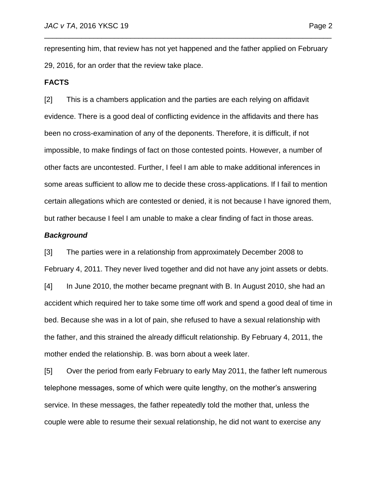representing him, that review has not yet happened and the father applied on February 29, 2016, for an order that the review take place.

\_\_\_\_\_\_\_\_\_\_\_\_\_\_\_\_\_\_\_\_\_\_\_\_\_\_\_\_\_\_\_\_\_\_\_\_\_\_\_\_\_\_\_\_\_\_\_\_\_\_\_\_\_\_\_\_\_\_\_\_\_\_\_\_\_\_\_\_\_\_

### **FACTS**

[2] This is a chambers application and the parties are each relying on affidavit evidence. There is a good deal of conflicting evidence in the affidavits and there has been no cross-examination of any of the deponents. Therefore, it is difficult, if not impossible, to make findings of fact on those contested points. However, a number of other facts are uncontested. Further, I feel I am able to make additional inferences in some areas sufficient to allow me to decide these cross-applications. If I fail to mention certain allegations which are contested or denied, it is not because I have ignored them, but rather because I feel I am unable to make a clear finding of fact in those areas.

### *Background*

[3] The parties were in a relationship from approximately December 2008 to February 4, 2011. They never lived together and did not have any joint assets or debts. [4] In June 2010, the mother became pregnant with B. In August 2010, she had an accident which required her to take some time off work and spend a good deal of time in bed. Because she was in a lot of pain, she refused to have a sexual relationship with the father, and this strained the already difficult relationship. By February 4, 2011, the mother ended the relationship. B. was born about a week later.

[5] Over the period from early February to early May 2011, the father left numerous telephone messages, some of which were quite lengthy, on the mother's answering service. In these messages, the father repeatedly told the mother that, unless the couple were able to resume their sexual relationship, he did not want to exercise any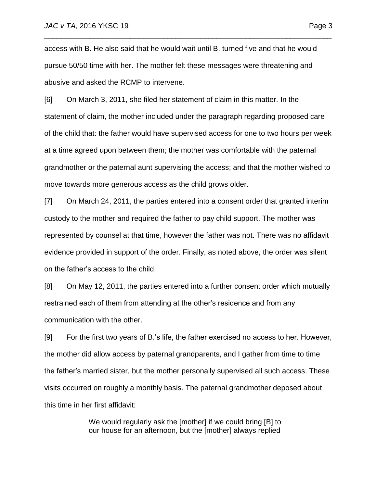access with B. He also said that he would wait until B. turned five and that he would pursue 50/50 time with her. The mother felt these messages were threatening and abusive and asked the RCMP to intervene.

\_\_\_\_\_\_\_\_\_\_\_\_\_\_\_\_\_\_\_\_\_\_\_\_\_\_\_\_\_\_\_\_\_\_\_\_\_\_\_\_\_\_\_\_\_\_\_\_\_\_\_\_\_\_\_\_\_\_\_\_\_\_\_\_\_\_\_\_\_\_

[6] On March 3, 2011, she filed her statement of claim in this matter. In the statement of claim, the mother included under the paragraph regarding proposed care of the child that: the father would have supervised access for one to two hours per week at a time agreed upon between them; the mother was comfortable with the paternal grandmother or the paternal aunt supervising the access; and that the mother wished to move towards more generous access as the child grows older.

[7] On March 24, 2011, the parties entered into a consent order that granted interim custody to the mother and required the father to pay child support. The mother was represented by counsel at that time, however the father was not. There was no affidavit evidence provided in support of the order. Finally, as noted above, the order was silent on the father's access to the child.

[8] On May 12, 2011, the parties entered into a further consent order which mutually restrained each of them from attending at the other's residence and from any communication with the other.

[9] For the first two years of B.'s life, the father exercised no access to her. However, the mother did allow access by paternal grandparents, and I gather from time to time the father's married sister, but the mother personally supervised all such access. These visits occurred on roughly a monthly basis. The paternal grandmother deposed about this time in her first affidavit:

> We would regularly ask the [mother] if we could bring [B] to our house for an afternoon, but the [mother] always replied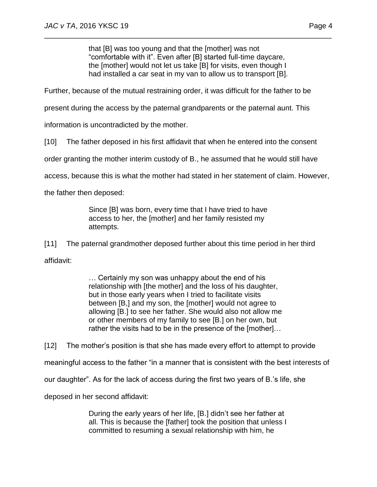that [B] was too young and that the [mother] was not "comfortable with it". Even after [B] started full-time daycare, the [mother] would not let us take [B] for visits, even though I had installed a car seat in my van to allow us to transport [B].

\_\_\_\_\_\_\_\_\_\_\_\_\_\_\_\_\_\_\_\_\_\_\_\_\_\_\_\_\_\_\_\_\_\_\_\_\_\_\_\_\_\_\_\_\_\_\_\_\_\_\_\_\_\_\_\_\_\_\_\_\_\_\_\_\_\_\_\_\_\_

Further, because of the mutual restraining order, it was difficult for the father to be

present during the access by the paternal grandparents or the paternal aunt. This

information is uncontradicted by the mother.

[10] The father deposed in his first affidavit that when he entered into the consent

order granting the mother interim custody of B., he assumed that he would still have

access, because this is what the mother had stated in her statement of claim. However,

the father then deposed:

Since [B] was born, every time that I have tried to have access to her, the [mother] and her family resisted my attempts.

[11] The paternal grandmother deposed further about this time period in her third affidavit:

> … Certainly my son was unhappy about the end of his relationship with [the mother] and the loss of his daughter, but in those early years when I tried to facilitate visits between [B,] and my son, the [mother] would not agree to allowing [B.] to see her father. She would also not allow me or other members of my family to see [B.] on her own, but rather the visits had to be in the presence of the [mother]…

[12] The mother's position is that she has made every effort to attempt to provide meaningful access to the father "in a manner that is consistent with the best interests of our daughter". As for the lack of access during the first two years of B.'s life, she deposed in her second affidavit:

> During the early years of her life, [B.] didn't see her father at all. This is because the [father] took the position that unless I committed to resuming a sexual relationship with him, he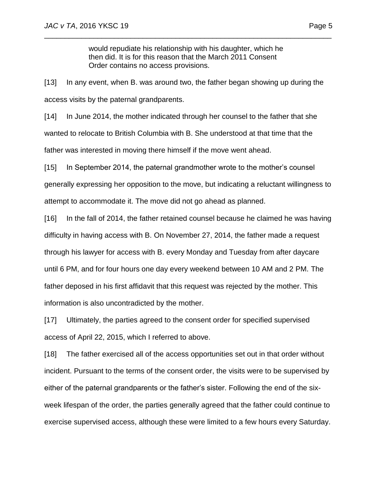would repudiate his relationship with his daughter, which he then did. It is for this reason that the March 2011 Consent Order contains no access provisions.

\_\_\_\_\_\_\_\_\_\_\_\_\_\_\_\_\_\_\_\_\_\_\_\_\_\_\_\_\_\_\_\_\_\_\_\_\_\_\_\_\_\_\_\_\_\_\_\_\_\_\_\_\_\_\_\_\_\_\_\_\_\_\_\_\_\_\_\_\_\_

[13] In any event, when B. was around two, the father began showing up during the access visits by the paternal grandparents.

[14] In June 2014, the mother indicated through her counsel to the father that she wanted to relocate to British Columbia with B. She understood at that time that the father was interested in moving there himself if the move went ahead.

[15] In September 2014, the paternal grandmother wrote to the mother's counsel generally expressing her opposition to the move, but indicating a reluctant willingness to attempt to accommodate it. The move did not go ahead as planned.

[16] In the fall of 2014, the father retained counsel because he claimed he was having difficulty in having access with B. On November 27, 2014, the father made a request through his lawyer for access with B. every Monday and Tuesday from after daycare until 6 PM, and for four hours one day every weekend between 10 AM and 2 PM. The father deposed in his first affidavit that this request was rejected by the mother. This information is also uncontradicted by the mother.

[17] Ultimately, the parties agreed to the consent order for specified supervised access of April 22, 2015, which I referred to above.

[18] The father exercised all of the access opportunities set out in that order without incident. Pursuant to the terms of the consent order, the visits were to be supervised by either of the paternal grandparents or the father's sister. Following the end of the sixweek lifespan of the order, the parties generally agreed that the father could continue to exercise supervised access, although these were limited to a few hours every Saturday.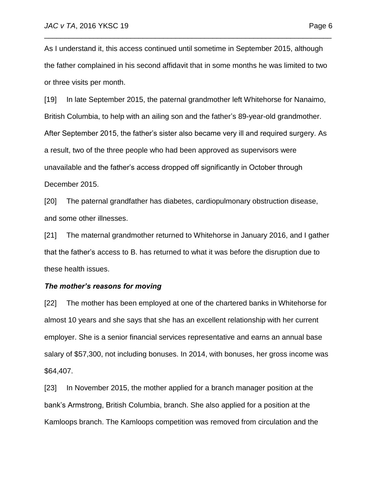As I understand it, this access continued until sometime in September 2015, although the father complained in his second affidavit that in some months he was limited to two or three visits per month.

\_\_\_\_\_\_\_\_\_\_\_\_\_\_\_\_\_\_\_\_\_\_\_\_\_\_\_\_\_\_\_\_\_\_\_\_\_\_\_\_\_\_\_\_\_\_\_\_\_\_\_\_\_\_\_\_\_\_\_\_\_\_\_\_\_\_\_\_\_\_

[19] In late September 2015, the paternal grandmother left Whitehorse for Nanaimo, British Columbia, to help with an ailing son and the father's 89-year-old grandmother. After September 2015, the father's sister also became very ill and required surgery. As a result, two of the three people who had been approved as supervisors were unavailable and the father's access dropped off significantly in October through December 2015.

[20] The paternal grandfather has diabetes, cardiopulmonary obstruction disease, and some other illnesses.

[21] The maternal grandmother returned to Whitehorse in January 2016, and I gather that the father's access to B. has returned to what it was before the disruption due to these health issues.

### *The mother's reasons for moving*

[22] The mother has been employed at one of the chartered banks in Whitehorse for almost 10 years and she says that she has an excellent relationship with her current employer. She is a senior financial services representative and earns an annual base salary of \$57,300, not including bonuses. In 2014, with bonuses, her gross income was \$64,407.

[23] In November 2015, the mother applied for a branch manager position at the bank's Armstrong, British Columbia, branch. She also applied for a position at the Kamloops branch. The Kamloops competition was removed from circulation and the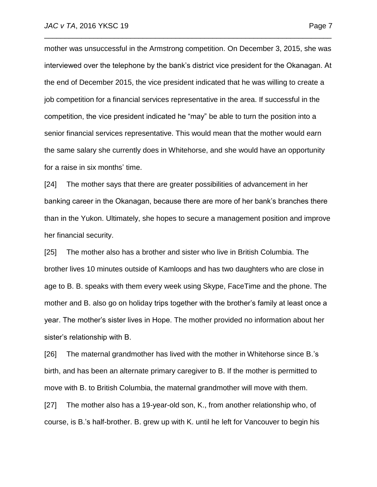mother was unsuccessful in the Armstrong competition. On December 3, 2015, she was interviewed over the telephone by the bank's district vice president for the Okanagan. At the end of December 2015, the vice president indicated that he was willing to create a job competition for a financial services representative in the area. If successful in the competition, the vice president indicated he "may" be able to turn the position into a senior financial services representative. This would mean that the mother would earn the same salary she currently does in Whitehorse, and she would have an opportunity for a raise in six months' time.

\_\_\_\_\_\_\_\_\_\_\_\_\_\_\_\_\_\_\_\_\_\_\_\_\_\_\_\_\_\_\_\_\_\_\_\_\_\_\_\_\_\_\_\_\_\_\_\_\_\_\_\_\_\_\_\_\_\_\_\_\_\_\_\_\_\_\_\_\_\_

[24] The mother says that there are greater possibilities of advancement in her banking career in the Okanagan, because there are more of her bank's branches there than in the Yukon. Ultimately, she hopes to secure a management position and improve her financial security.

[25] The mother also has a brother and sister who live in British Columbia. The brother lives 10 minutes outside of Kamloops and has two daughters who are close in age to B. B. speaks with them every week using Skype, FaceTime and the phone. The mother and B. also go on holiday trips together with the brother's family at least once a year. The mother's sister lives in Hope. The mother provided no information about her sister's relationship with B.

[26] The maternal grandmother has lived with the mother in Whitehorse since B.'s birth, and has been an alternate primary caregiver to B. If the mother is permitted to move with B. to British Columbia, the maternal grandmother will move with them.

[27] The mother also has a 19-year-old son, K., from another relationship who, of course, is B.'s half-brother. B. grew up with K. until he left for Vancouver to begin his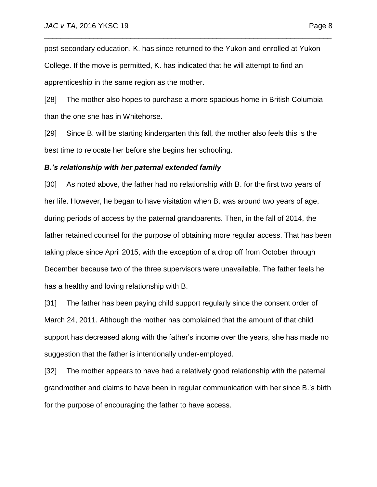post-secondary education. K. has since returned to the Yukon and enrolled at Yukon College. If the move is permitted, K. has indicated that he will attempt to find an apprenticeship in the same region as the mother.

\_\_\_\_\_\_\_\_\_\_\_\_\_\_\_\_\_\_\_\_\_\_\_\_\_\_\_\_\_\_\_\_\_\_\_\_\_\_\_\_\_\_\_\_\_\_\_\_\_\_\_\_\_\_\_\_\_\_\_\_\_\_\_\_\_\_\_\_\_\_

[28] The mother also hopes to purchase a more spacious home in British Columbia than the one she has in Whitehorse.

[29] Since B. will be starting kindergarten this fall, the mother also feels this is the best time to relocate her before she begins her schooling.

### *B.'s relationship with her paternal extended family*

[30] As noted above, the father had no relationship with B. for the first two years of her life. However, he began to have visitation when B. was around two years of age, during periods of access by the paternal grandparents. Then, in the fall of 2014, the father retained counsel for the purpose of obtaining more regular access. That has been taking place since April 2015, with the exception of a drop off from October through December because two of the three supervisors were unavailable. The father feels he has a healthy and loving relationship with B.

[31] The father has been paying child support regularly since the consent order of March 24, 2011. Although the mother has complained that the amount of that child support has decreased along with the father's income over the years, she has made no suggestion that the father is intentionally under-employed.

[32] The mother appears to have had a relatively good relationship with the paternal grandmother and claims to have been in regular communication with her since B.'s birth for the purpose of encouraging the father to have access.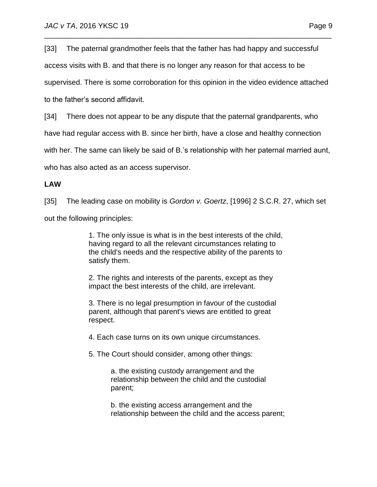[33] The paternal grandmother feels that the father has had happy and successful

\_\_\_\_\_\_\_\_\_\_\_\_\_\_\_\_\_\_\_\_\_\_\_\_\_\_\_\_\_\_\_\_\_\_\_\_\_\_\_\_\_\_\_\_\_\_\_\_\_\_\_\_\_\_\_\_\_\_\_\_\_\_\_\_\_\_\_\_\_\_

access visits with B. and that there is no longer any reason for that access to be

supervised. There is some corroboration for this opinion in the video evidence attached

to the father's second affidavit.

[34] There does not appear to be any dispute that the paternal grandparents, who

have had regular access with B. since her birth, have a close and healthy connection

with her. The same can likely be said of B.'s relationship with her paternal married aunt,

who has also acted as an access supervisor.

# **LAW**

[35] The leading case on mobility is *Gordon v. Goertz*, [\[1996\] 2 S.C.R. 27,](http://www.lexisnexis.com/ca/legal/search/runRemoteLink.do?A=0.9236114078383818&bct=A&service=citation&risb=21_T23632892227&langcountry=CA&linkInfo=F%23CA%23SCR%23vol%252%25sel1%251996%25page%2527%25year%251996%25sel2%252%25) which set

out the following principles:

1. The only issue is what is in the best interests of the child, having regard to all the relevant circumstances relating to the child's needs and the respective ability of the parents to satisfy them.

2. The rights and interests of the parents, except as they impact the best interests of the child, are irrelevant.

3. There is no legal presumption in favour of the custodial parent, although that parent's views are entitled to great respect.

4. Each case turns on its own unique circumstances.

5. The Court should consider, among other things:

a. the existing custody arrangement and the relationship between the child and the custodial parent;

b. the existing access arrangement and the relationship between the child and the access parent;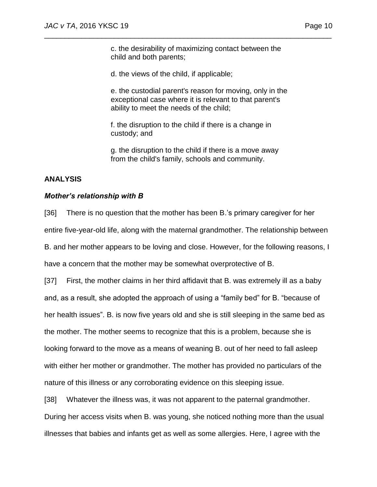c. the desirability of maximizing contact between the child and both parents;

\_\_\_\_\_\_\_\_\_\_\_\_\_\_\_\_\_\_\_\_\_\_\_\_\_\_\_\_\_\_\_\_\_\_\_\_\_\_\_\_\_\_\_\_\_\_\_\_\_\_\_\_\_\_\_\_\_\_\_\_\_\_\_\_\_\_\_\_\_\_

d. the views of the child, if applicable;

e. the custodial parent's reason for moving, only in the exceptional case where it is relevant to that parent's ability to meet the needs of the child;

f. the disruption to the child if there is a change in custody; and

g. the disruption to the child if there is a move away from the child's family, schools and community.

# **ANALYSIS**

## *Mother's relationship with B*

[36] There is no question that the mother has been B.'s primary caregiver for her entire five-year-old life, along with the maternal grandmother. The relationship between B. and her mother appears to be loving and close. However, for the following reasons, I have a concern that the mother may be somewhat overprotective of B.

[37] First, the mother claims in her third affidavit that B. was extremely ill as a baby and, as a result, she adopted the approach of using a "family bed" for B. "because of her health issues". B. is now five years old and she is still sleeping in the same bed as the mother. The mother seems to recognize that this is a problem, because she is looking forward to the move as a means of weaning B. out of her need to fall asleep with either her mother or grandmother. The mother has provided no particulars of the nature of this illness or any corroborating evidence on this sleeping issue.

[38] Whatever the illness was, it was not apparent to the paternal grandmother. During her access visits when B. was young, she noticed nothing more than the usual illnesses that babies and infants get as well as some allergies. Here, I agree with the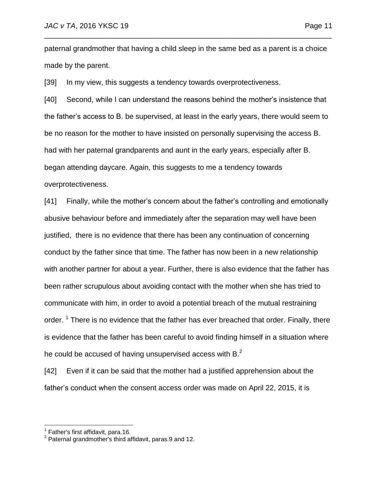paternal grandmother that having a child sleep in the same bed as a parent is a choice made by the parent.

\_\_\_\_\_\_\_\_\_\_\_\_\_\_\_\_\_\_\_\_\_\_\_\_\_\_\_\_\_\_\_\_\_\_\_\_\_\_\_\_\_\_\_\_\_\_\_\_\_\_\_\_\_\_\_\_\_\_\_\_\_\_\_\_\_\_\_\_\_\_

[39] In my view, this suggests a tendency towards overprotectiveness.

[40] Second, while I can understand the reasons behind the mother's insistence that the father's access to B. be supervised, at least in the early years, there would seem to be no reason for the mother to have insisted on personally supervising the access B. had with her paternal grandparents and aunt in the early years, especially after B. began attending daycare. Again, this suggests to me a tendency towards overprotectiveness.

[41] Finally, while the mother's concern about the father's controlling and emotionally abusive behaviour before and immediately after the separation may well have been justified, there is no evidence that there has been any continuation of concerning conduct by the father since that time. The father has now been in a new relationship with another partner for about a year. Further, there is also evidence that the father has been rather scrupulous about avoiding contact with the mother when she has tried to communicate with him, in order to avoid a potential breach of the mutual restraining order. <sup>1</sup> There is no evidence that the father has ever breached that order. Finally, there is evidence that the father has been careful to avoid finding himself in a situation where he could be accused of having unsupervised access with  $B<sup>2</sup>$ .

[42] Even if it can be said that the mother had a justified apprehension about the father's conduct when the consent access order was made on April 22, 2015, it is

 1 Father's first affidavit, para.16.

<sup>&</sup>lt;sup>2</sup> Paternal grandmother's third affidavit, paras.9 and 12.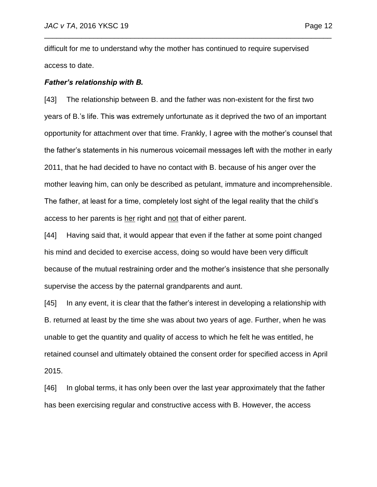difficult for me to understand why the mother has continued to require supervised access to date.

\_\_\_\_\_\_\_\_\_\_\_\_\_\_\_\_\_\_\_\_\_\_\_\_\_\_\_\_\_\_\_\_\_\_\_\_\_\_\_\_\_\_\_\_\_\_\_\_\_\_\_\_\_\_\_\_\_\_\_\_\_\_\_\_\_\_\_\_\_\_

### *Father's relationship with B.*

[43] The relationship between B. and the father was non-existent for the first two years of B.'s life. This was extremely unfortunate as it deprived the two of an important opportunity for attachment over that time. Frankly, I agree with the mother's counsel that the father's statements in his numerous voicemail messages left with the mother in early 2011, that he had decided to have no contact with B. because of his anger over the mother leaving him, can only be described as petulant, immature and incomprehensible. The father, at least for a time, completely lost sight of the legal reality that the child's access to her parents is her right and not that of either parent.

[44] Having said that, it would appear that even if the father at some point changed his mind and decided to exercise access, doing so would have been very difficult because of the mutual restraining order and the mother's insistence that she personally supervise the access by the paternal grandparents and aunt.

[45] In any event, it is clear that the father's interest in developing a relationship with B. returned at least by the time she was about two years of age. Further, when he was unable to get the quantity and quality of access to which he felt he was entitled, he retained counsel and ultimately obtained the consent order for specified access in April 2015.

[46] In global terms, it has only been over the last year approximately that the father has been exercising regular and constructive access with B. However, the access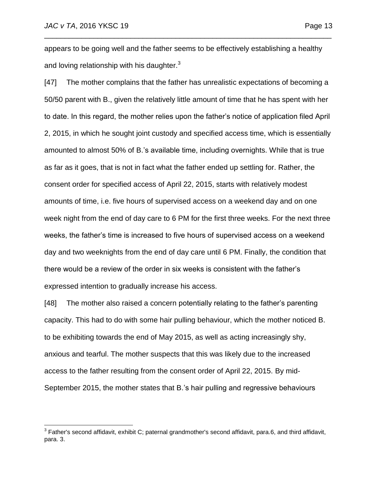appears to be going well and the father seems to be effectively establishing a healthy and loving relationship with his daughter. $3$ 

\_\_\_\_\_\_\_\_\_\_\_\_\_\_\_\_\_\_\_\_\_\_\_\_\_\_\_\_\_\_\_\_\_\_\_\_\_\_\_\_\_\_\_\_\_\_\_\_\_\_\_\_\_\_\_\_\_\_\_\_\_\_\_\_\_\_\_\_\_\_

[47] The mother complains that the father has unrealistic expectations of becoming a 50/50 parent with B., given the relatively little amount of time that he has spent with her to date. In this regard, the mother relies upon the father's notice of application filed April 2, 2015, in which he sought joint custody and specified access time, which is essentially amounted to almost 50% of B.'s available time, including overnights. While that is true as far as it goes, that is not in fact what the father ended up settling for. Rather, the consent order for specified access of April 22, 2015, starts with relatively modest amounts of time, i.e. five hours of supervised access on a weekend day and on one week night from the end of day care to 6 PM for the first three weeks. For the next three weeks, the father's time is increased to five hours of supervised access on a weekend day and two weeknights from the end of day care until 6 PM. Finally, the condition that there would be a review of the order in six weeks is consistent with the father's expressed intention to gradually increase his access.

[48] The mother also raised a concern potentially relating to the father's parenting capacity. This had to do with some hair pulling behaviour, which the mother noticed B. to be exhibiting towards the end of May 2015, as well as acting increasingly shy, anxious and tearful. The mother suspects that this was likely due to the increased access to the father resulting from the consent order of April 22, 2015. By mid-September 2015, the mother states that B.'s hair pulling and regressive behaviours

 3 Father's second affidavit, exhibit C; paternal grandmother's second affidavit, para.6, and third affidavit, para. 3.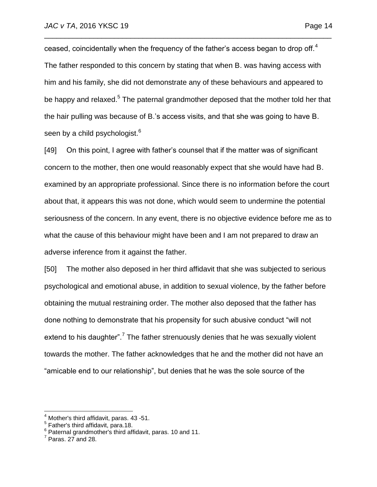ceased, coincidentally when the frequency of the father's access began to drop off.<sup>4</sup> The father responded to this concern by stating that when B. was having access with him and his family, she did not demonstrate any of these behaviours and appeared to be happy and relaxed.<sup>5</sup> The paternal grandmother deposed that the mother told her that the hair pulling was because of B.'s access visits, and that she was going to have B. seen by a child psychologist.<sup>6</sup>

\_\_\_\_\_\_\_\_\_\_\_\_\_\_\_\_\_\_\_\_\_\_\_\_\_\_\_\_\_\_\_\_\_\_\_\_\_\_\_\_\_\_\_\_\_\_\_\_\_\_\_\_\_\_\_\_\_\_\_\_\_\_\_\_\_\_\_\_\_\_

[49] On this point, I agree with father's counsel that if the matter was of significant concern to the mother, then one would reasonably expect that she would have had B. examined by an appropriate professional. Since there is no information before the court about that, it appears this was not done, which would seem to undermine the potential seriousness of the concern. In any event, there is no objective evidence before me as to what the cause of this behaviour might have been and I am not prepared to draw an adverse inference from it against the father.

[50] The mother also deposed in her third affidavit that she was subjected to serious psychological and emotional abuse, in addition to sexual violence, by the father before obtaining the mutual restraining order. The mother also deposed that the father has done nothing to demonstrate that his propensity for such abusive conduct "will not extend to his daughter".<sup>7</sup> The father strenuously denies that he was sexually violent towards the mother. The father acknowledges that he and the mother did not have an "amicable end to our relationship", but denies that he was the sole source of the

 $\overline{a}$ 

<sup>&</sup>lt;sup>4</sup> Mother's third affidavit, paras. 43 -51.

<sup>&</sup>lt;sup>5</sup> Father's third affidavit, para.18.<br><sup>6</sup> Paternal grandmother's third affidavit, paras. 10 and 11.<br><sup>7</sup> Paras. 37 and 38.

 $^7$  Paras. 27 and 28.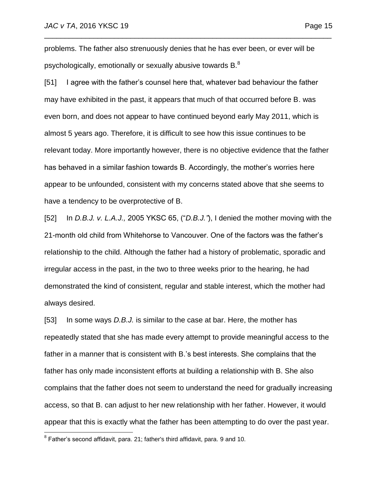problems. The father also strenuously denies that he has ever been, or ever will be psychologically, emotionally or sexually abusive towards B.<sup>8</sup>

\_\_\_\_\_\_\_\_\_\_\_\_\_\_\_\_\_\_\_\_\_\_\_\_\_\_\_\_\_\_\_\_\_\_\_\_\_\_\_\_\_\_\_\_\_\_\_\_\_\_\_\_\_\_\_\_\_\_\_\_\_\_\_\_\_\_\_\_\_\_

[51] I agree with the father's counsel here that, whatever bad behaviour the father may have exhibited in the past, it appears that much of that occurred before B. was even born, and does not appear to have continued beyond early May 2011, which is almost 5 years ago. Therefore, it is difficult to see how this issue continues to be relevant today. More importantly however, there is no objective evidence that the father has behaved in a similar fashion towards B. Accordingly, the mother's worries here appear to be unfounded, consistent with my concerns stated above that she seems to have a tendency to be overprotective of B.

[52] In *D.B.J. v. L.A.J.,* 2005 YKSC 65, ("*D.B.J."*), I denied the mother moving with the 21-month old child from Whitehorse to Vancouver. One of the factors was the father's relationship to the child. Although the father had a history of problematic, sporadic and irregular access in the past, in the two to three weeks prior to the hearing, he had demonstrated the kind of consistent, regular and stable interest, which the mother had always desired.

[53] In some ways *D.B.J.* is similar to the case at bar. Here, the mother has repeatedly stated that she has made every attempt to provide meaningful access to the father in a manner that is consistent with B.'s best interests. She complains that the father has only made inconsistent efforts at building a relationship with B. She also complains that the father does not seem to understand the need for gradually increasing access, so that B. can adjust to her new relationship with her father. However, it would appear that this is exactly what the father has been attempting to do over the past year.

 $\overline{a}$ 

 $^8$  Father's second affidavit, para. 21; father's third affidavit, para. 9 and 10.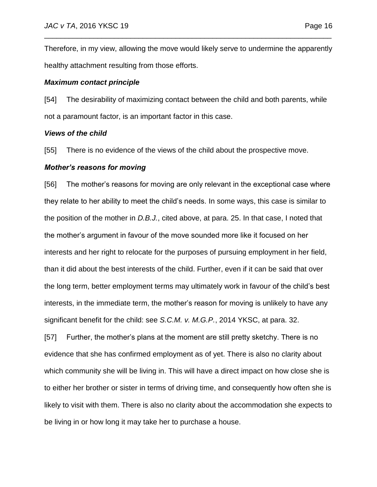Therefore, in my view, allowing the move would likely serve to undermine the apparently healthy attachment resulting from those efforts.

\_\_\_\_\_\_\_\_\_\_\_\_\_\_\_\_\_\_\_\_\_\_\_\_\_\_\_\_\_\_\_\_\_\_\_\_\_\_\_\_\_\_\_\_\_\_\_\_\_\_\_\_\_\_\_\_\_\_\_\_\_\_\_\_\_\_\_\_\_\_

### *Maximum contact principle*

[54] The desirability of maximizing contact between the child and both parents, while not a paramount factor, is an important factor in this case.

### *Views of the child*

[55] There is no evidence of the views of the child about the prospective move.

### *Mother's reasons for moving*

[56] The mother's reasons for moving are only relevant in the exceptional case where they relate to her ability to meet the child's needs. In some ways, this case is similar to the position of the mother in *D.B.J.*, cited above, at para. 25. In that case, I noted that the mother's argument in favour of the move sounded more like it focused on her interests and her right to relocate for the purposes of pursuing employment in her field, than it did about the best interests of the child. Further, even if it can be said that over the long term, better employment terms may ultimately work in favour of the child's best interests, in the immediate term, the mother's reason for moving is unlikely to have any significant benefit for the child: see *S.C.M. v. M.G.P.*, 2014 YKSC, at para. 32.

[57] Further, the mother's plans at the moment are still pretty sketchy. There is no evidence that she has confirmed employment as of yet. There is also no clarity about which community she will be living in. This will have a direct impact on how close she is to either her brother or sister in terms of driving time, and consequently how often she is likely to visit with them. There is also no clarity about the accommodation she expects to be living in or how long it may take her to purchase a house.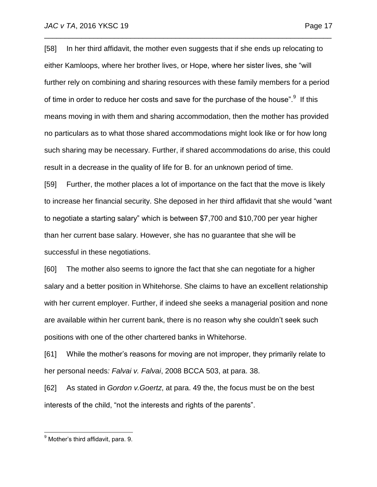[58] In her third affidavit, the mother even suggests that if she ends up relocating to either Kamloops, where her brother lives, or Hope, where her sister lives, she "will further rely on combining and sharing resources with these family members for a period of time in order to reduce her costs and save for the purchase of the house".<sup>9</sup> If this means moving in with them and sharing accommodation, then the mother has provided no particulars as to what those shared accommodations might look like or for how long such sharing may be necessary. Further, if shared accommodations do arise, this could result in a decrease in the quality of life for B. for an unknown period of time.

\_\_\_\_\_\_\_\_\_\_\_\_\_\_\_\_\_\_\_\_\_\_\_\_\_\_\_\_\_\_\_\_\_\_\_\_\_\_\_\_\_\_\_\_\_\_\_\_\_\_\_\_\_\_\_\_\_\_\_\_\_\_\_\_\_\_\_\_\_\_

[59] Further, the mother places a lot of importance on the fact that the move is likely to increase her financial security. She deposed in her third affidavit that she would "want to negotiate a starting salary" which is between \$7,700 and \$10,700 per year higher than her current base salary. However, she has no guarantee that she will be successful in these negotiations.

[60] The mother also seems to ignore the fact that she can negotiate for a higher salary and a better position in Whitehorse. She claims to have an excellent relationship with her current employer. Further, if indeed she seeks a managerial position and none are available within her current bank, there is no reason why she couldn't seek such positions with one of the other chartered banks in Whitehorse.

[61] While the mother's reasons for moving are not improper, they primarily relate to her personal needs*: Falvai v. Falvai*, 2008 BCCA 503, at para. 38.

[62] As stated in *Gordon v.Goertz*, at para. 49 the, the focus must be on the best interests of the child, "not the interests and rights of the parents".

 $\overline{a}$ 

<sup>&</sup>lt;sup>9</sup> Mother's third affidavit, para. 9.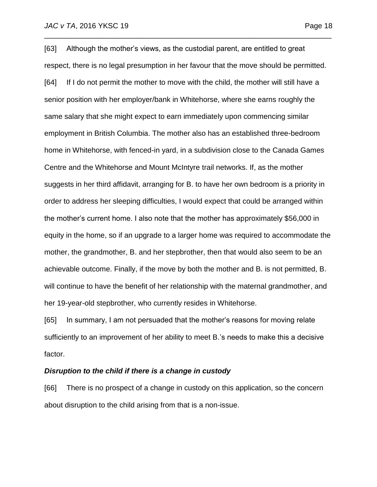[63] Although the mother's views, as the custodial parent, are entitled to great respect, there is no legal presumption in her favour that the move should be permitted. [64] If I do not permit the mother to move with the child, the mother will still have a senior position with her employer/bank in Whitehorse, where she earns roughly the same salary that she might expect to earn immediately upon commencing similar employment in British Columbia. The mother also has an established three-bedroom home in Whitehorse, with fenced-in yard, in a subdivision close to the Canada Games Centre and the Whitehorse and Mount McIntyre trail networks. If, as the mother suggests in her third affidavit, arranging for B. to have her own bedroom is a priority in order to address her sleeping difficulties, I would expect that could be arranged within the mother's current home. I also note that the mother has approximately \$56,000 in equity in the home, so if an upgrade to a larger home was required to accommodate the mother, the grandmother, B. and her stepbrother, then that would also seem to be an achievable outcome. Finally, if the move by both the mother and B. is not permitted, B. will continue to have the benefit of her relationship with the maternal grandmother, and her 19-year-old stepbrother, who currently resides in Whitehorse.

\_\_\_\_\_\_\_\_\_\_\_\_\_\_\_\_\_\_\_\_\_\_\_\_\_\_\_\_\_\_\_\_\_\_\_\_\_\_\_\_\_\_\_\_\_\_\_\_\_\_\_\_\_\_\_\_\_\_\_\_\_\_\_\_\_\_\_\_\_\_

[65] In summary, I am not persuaded that the mother's reasons for moving relate sufficiently to an improvement of her ability to meet B.'s needs to make this a decisive factor.

### *Disruption to the child if there is a change in custody*

[66] There is no prospect of a change in custody on this application, so the concern about disruption to the child arising from that is a non-issue.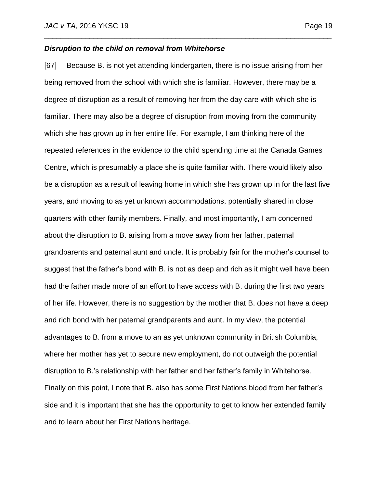### *Disruption to the child on removal from Whitehorse*

[67] Because B. is not yet attending kindergarten, there is no issue arising from her being removed from the school with which she is familiar. However, there may be a degree of disruption as a result of removing her from the day care with which she is familiar. There may also be a degree of disruption from moving from the community which she has grown up in her entire life. For example, I am thinking here of the repeated references in the evidence to the child spending time at the Canada Games Centre, which is presumably a place she is quite familiar with. There would likely also be a disruption as a result of leaving home in which she has grown up in for the last five years, and moving to as yet unknown accommodations, potentially shared in close quarters with other family members. Finally, and most importantly, I am concerned about the disruption to B. arising from a move away from her father, paternal grandparents and paternal aunt and uncle. It is probably fair for the mother's counsel to suggest that the father's bond with B. is not as deep and rich as it might well have been had the father made more of an effort to have access with B. during the first two years of her life. However, there is no suggestion by the mother that B. does not have a deep and rich bond with her paternal grandparents and aunt. In my view, the potential advantages to B. from a move to an as yet unknown community in British Columbia, where her mother has yet to secure new employment, do not outweigh the potential disruption to B.'s relationship with her father and her father's family in Whitehorse. Finally on this point, I note that B. also has some First Nations blood from her father's side and it is important that she has the opportunity to get to know her extended family and to learn about her First Nations heritage.

\_\_\_\_\_\_\_\_\_\_\_\_\_\_\_\_\_\_\_\_\_\_\_\_\_\_\_\_\_\_\_\_\_\_\_\_\_\_\_\_\_\_\_\_\_\_\_\_\_\_\_\_\_\_\_\_\_\_\_\_\_\_\_\_\_\_\_\_\_\_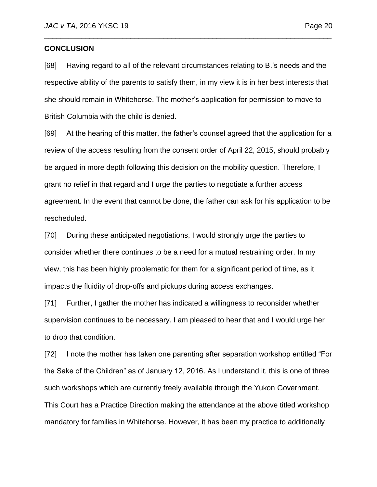### **CONCLUSION**

[68] Having regard to all of the relevant circumstances relating to B.'s needs and the respective ability of the parents to satisfy them, in my view it is in her best interests that she should remain in Whitehorse. The mother's application for permission to move to British Columbia with the child is denied.

\_\_\_\_\_\_\_\_\_\_\_\_\_\_\_\_\_\_\_\_\_\_\_\_\_\_\_\_\_\_\_\_\_\_\_\_\_\_\_\_\_\_\_\_\_\_\_\_\_\_\_\_\_\_\_\_\_\_\_\_\_\_\_\_\_\_\_\_\_\_

[69] At the hearing of this matter, the father's counsel agreed that the application for a review of the access resulting from the consent order of April 22, 2015, should probably be argued in more depth following this decision on the mobility question. Therefore, I grant no relief in that regard and I urge the parties to negotiate a further access agreement. In the event that cannot be done, the father can ask for his application to be rescheduled.

[70] During these anticipated negotiations, I would strongly urge the parties to consider whether there continues to be a need for a mutual restraining order. In my view, this has been highly problematic for them for a significant period of time, as it impacts the fluidity of drop-offs and pickups during access exchanges.

[71] Further, I gather the mother has indicated a willingness to reconsider whether supervision continues to be necessary. I am pleased to hear that and I would urge her to drop that condition.

[72] I note the mother has taken one parenting after separation workshop entitled "For the Sake of the Children" as of January 12, 2016. As I understand it, this is one of three such workshops which are currently freely available through the Yukon Government. This Court has a Practice Direction making the attendance at the above titled workshop mandatory for families in Whitehorse. However, it has been my practice to additionally